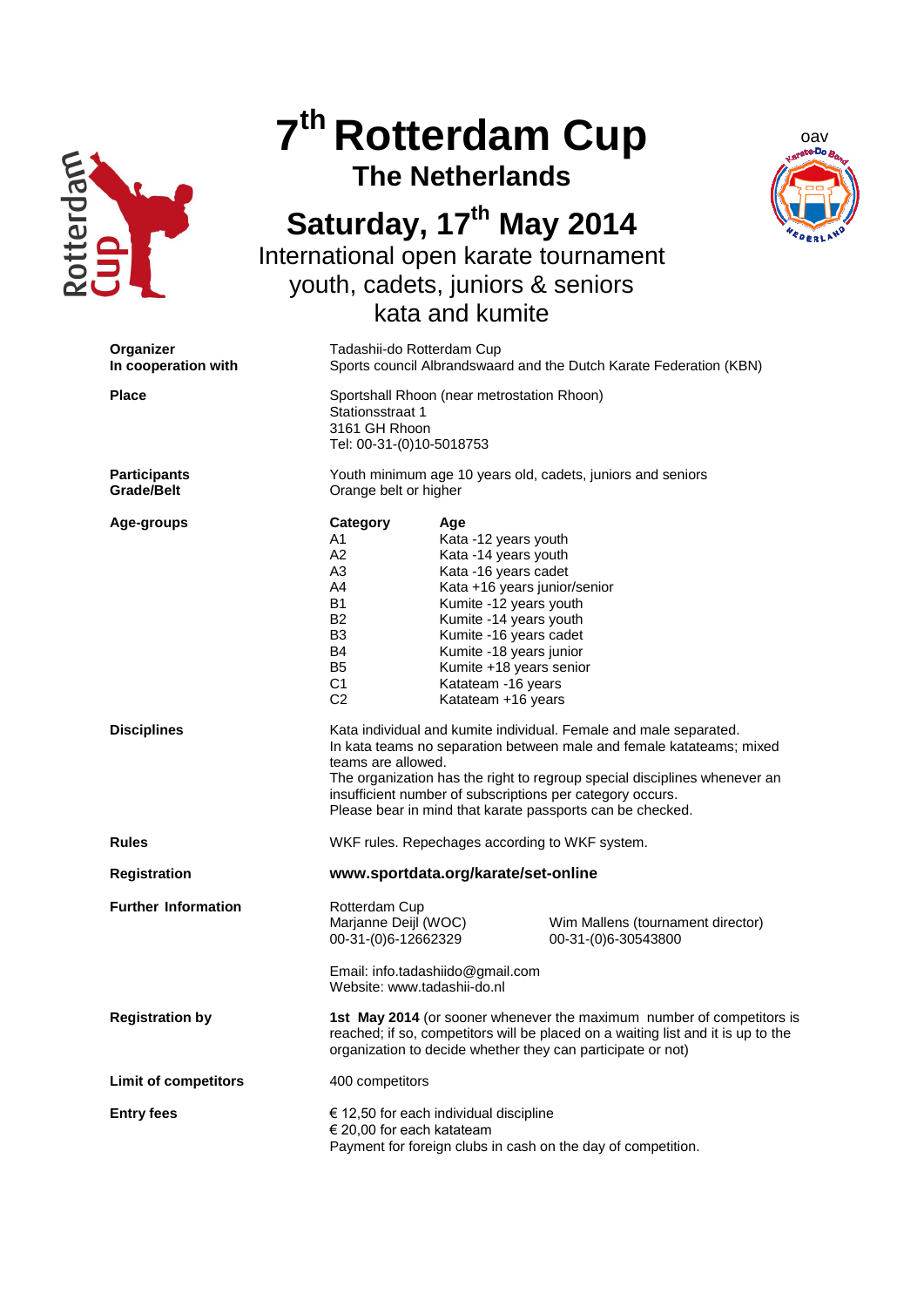

## **7 th Rotterdam Cup**

**The Netherlands**



## **Saturday, 17th May 2014**

International open karate tournament youth, cadets, juniors & seniors kata and kumite

| Organizer<br>In cooperation with         | Tadashii-do Rotterdam Cup<br>Sports council Albrandswaard and the Dutch Karate Federation (KBN)                                                                                                                                                                                                                                                                        |                                                                                                                                                                                                                                                                                             |                                                          |
|------------------------------------------|------------------------------------------------------------------------------------------------------------------------------------------------------------------------------------------------------------------------------------------------------------------------------------------------------------------------------------------------------------------------|---------------------------------------------------------------------------------------------------------------------------------------------------------------------------------------------------------------------------------------------------------------------------------------------|----------------------------------------------------------|
| <b>Place</b>                             | Sportshall Rhoon (near metrostation Rhoon)<br>Stationsstraat 1<br>3161 GH Rhoon<br>Tel: 00-31-(0)10-5018753                                                                                                                                                                                                                                                            |                                                                                                                                                                                                                                                                                             |                                                          |
| <b>Participants</b><br><b>Grade/Belt</b> | Youth minimum age 10 years old, cadets, juniors and seniors<br>Orange belt or higher                                                                                                                                                                                                                                                                                   |                                                                                                                                                                                                                                                                                             |                                                          |
| Age-groups                               | Category<br>A1<br>A2<br>A3<br>A4<br>B1<br>B2<br>B3<br>B4<br><b>B5</b><br>C1<br>C <sub>2</sub>                                                                                                                                                                                                                                                                          | Age<br>Kata -12 years youth<br>Kata -14 years youth<br>Kata -16 years cadet<br>Kata +16 years junior/senior<br>Kumite -12 years youth<br>Kumite -14 years youth<br>Kumite -16 years cadet<br>Kumite -18 years junior<br>Kumite +18 years senior<br>Katateam -16 years<br>Katateam +16 years |                                                          |
| <b>Disciplines</b>                       | Kata individual and kumite individual. Female and male separated.<br>In kata teams no separation between male and female katateams; mixed<br>teams are allowed.<br>The organization has the right to regroup special disciplines whenever an<br>insufficient number of subscriptions per category occurs.<br>Please bear in mind that karate passports can be checked. |                                                                                                                                                                                                                                                                                             |                                                          |
| <b>Rules</b>                             | WKF rules. Repechages according to WKF system.                                                                                                                                                                                                                                                                                                                         |                                                                                                                                                                                                                                                                                             |                                                          |
| <b>Registration</b>                      | www.sportdata.org/karate/set-online                                                                                                                                                                                                                                                                                                                                    |                                                                                                                                                                                                                                                                                             |                                                          |
| <b>Further Information</b>               | Rotterdam Cup<br>Marjanne Deijl (WOC)<br>00-31-(0)6-12662329<br>Website: www.tadashii-do.nl                                                                                                                                                                                                                                                                            | Email: info.tadashiido@gmail.com                                                                                                                                                                                                                                                            | Wim Mallens (tournament director)<br>00-31-(0)6-30543800 |
| <b>Registration by</b>                   | 1st May 2014 (or sooner whenever the maximum number of competitors is<br>reached; if so, competitors will be placed on a waiting list and it is up to the<br>organization to decide whether they can participate or not)                                                                                                                                               |                                                                                                                                                                                                                                                                                             |                                                          |
| <b>Limit of competitors</b>              | 400 competitors                                                                                                                                                                                                                                                                                                                                                        |                                                                                                                                                                                                                                                                                             |                                                          |
| <b>Entry fees</b>                        | $\epsilon$ 12,50 for each individual discipline<br>€ 20,00 for each katateam<br>Payment for foreign clubs in cash on the day of competition.                                                                                                                                                                                                                           |                                                                                                                                                                                                                                                                                             |                                                          |